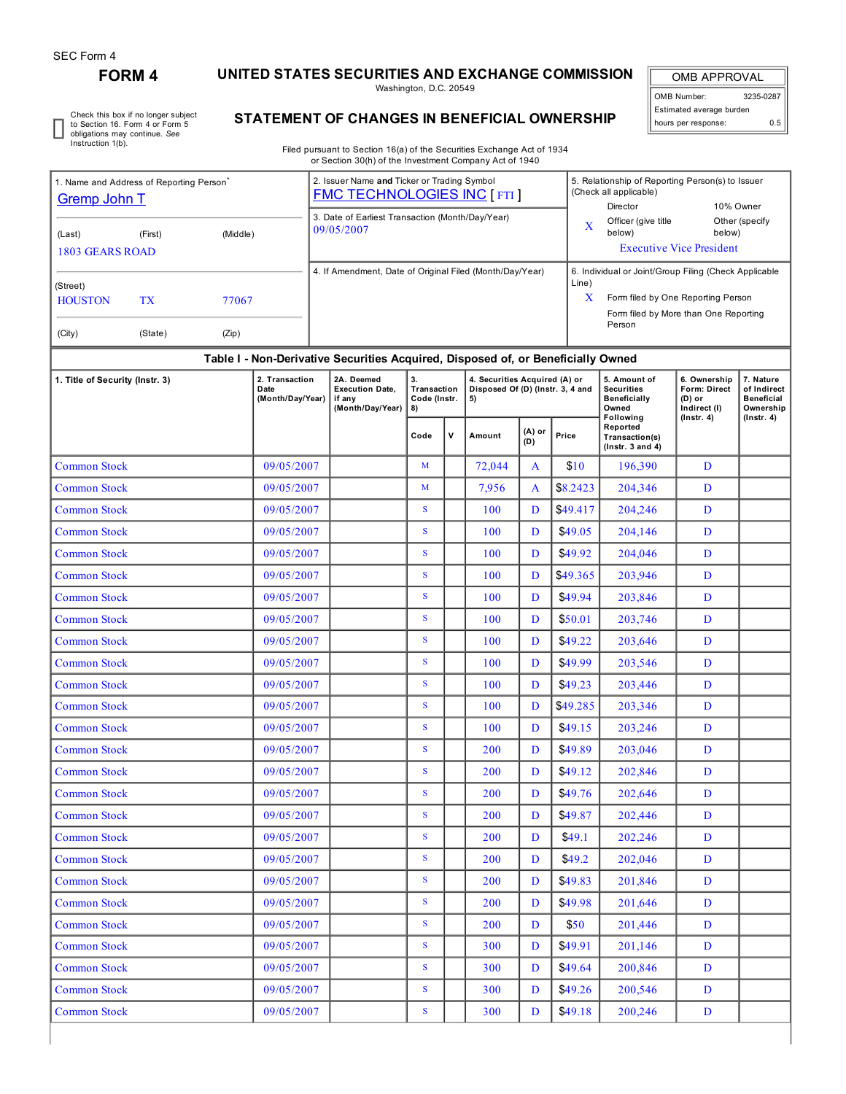## **FORM 4 UNITED STATES SECURITIES AND EXCHANGE COMMISSION**

Washington, D.C. 20549

OMB APPROVAL OMB Number: 3235-0287 Estimated average burden hours per response: 0.5

5. Relationship of Reporting Person(s) to Issuer

Check this box if no longer subject to Section 16. Form 4 or Form 5 obligations may continue. *See* Instruction 1(b).

1. Name and Address of Reporting Person<sup>\*</sup>

## **STATEMENT OF CHANGES IN BENEFICIAL OWNERSHIP**

Filed pursuant to Section 16(a) of the Securities Exchange Act of 1934 or Section 30(h) of the Investment Company Act of 1940

2. Issuer Name **and** Ticker or Trading Symbol

| (Middle)<br>(First)<br>(Last)<br><b>1803 GEARS ROAD</b><br>(Street)<br><b>HOUSTON</b><br><b>TX</b><br>77067<br>(City)<br>(State)<br>(Zip)                                                                                               |            | 3. Date of Earliest Transaction (Month/Day/Year)<br>09/05/2007<br>4. If Amendment, Date of Original Filed (Month/Day/Year) |                                   |             |                                        |        | X                                                                                     | Director<br>Officer (give title<br>below)         | 10% Owner<br>below)<br><b>Executive Vice President</b> | Other (specify                                |  |  |  |
|-----------------------------------------------------------------------------------------------------------------------------------------------------------------------------------------------------------------------------------------|------------|----------------------------------------------------------------------------------------------------------------------------|-----------------------------------|-------------|----------------------------------------|--------|---------------------------------------------------------------------------------------|---------------------------------------------------|--------------------------------------------------------|-----------------------------------------------|--|--|--|
|                                                                                                                                                                                                                                         |            |                                                                                                                            |                                   |             |                                        |        |                                                                                       |                                                   |                                                        |                                               |  |  |  |
|                                                                                                                                                                                                                                         |            |                                                                                                                            |                                   |             |                                        |        |                                                                                       |                                                   |                                                        |                                               |  |  |  |
|                                                                                                                                                                                                                                         |            |                                                                                                                            |                                   |             |                                        |        |                                                                                       |                                                   |                                                        |                                               |  |  |  |
|                                                                                                                                                                                                                                         |            |                                                                                                                            |                                   |             |                                        | Line)  | 6. Individual or Joint/Group Filing (Check Applicable                                 |                                                   |                                                        |                                               |  |  |  |
|                                                                                                                                                                                                                                         |            |                                                                                                                            |                                   |             |                                        | X      | Form filed by One Reporting Person<br>Form filed by More than One Reporting<br>Person |                                                   |                                                        |                                               |  |  |  |
|                                                                                                                                                                                                                                         |            |                                                                                                                            |                                   |             |                                        |        |                                                                                       |                                                   |                                                        |                                               |  |  |  |
|                                                                                                                                                                                                                                         |            |                                                                                                                            |                                   |             |                                        |        |                                                                                       |                                                   |                                                        |                                               |  |  |  |
| Table I - Non-Derivative Securities Acquired, Disposed of, or Beneficially Owned<br>2. Transaction<br>2A. Deemed<br>4. Securities Acquired (A) or<br>5. Amount of<br>6. Ownership<br>7. Nature<br>1. Title of Security (Instr. 3)<br>3. |            |                                                                                                                            |                                   |             |                                        |        |                                                                                       |                                                   |                                                        |                                               |  |  |  |
| Date<br>(Month/Day/Year)                                                                                                                                                                                                                |            | <b>Execution Date,</b><br>if any<br>(Month/Day/Year)                                                                       | Transaction<br>Code (Instr.<br>8) |             | Disposed Of (D) (Instr. 3, 4 and<br>5) |        |                                                                                       | <b>Securities</b><br><b>Beneficially</b><br>Owned | Form: Direct<br>(D) or<br>Indirect (I)                 | of Indirect<br><b>Beneficial</b><br>Ownership |  |  |  |
|                                                                                                                                                                                                                                         |            |                                                                                                                            |                                   |             |                                        | (A) or |                                                                                       | Following<br>Reported                             | $($ Instr. 4 $)$                                       | $($ lnstr. 4 $)$                              |  |  |  |
|                                                                                                                                                                                                                                         |            |                                                                                                                            | Code                              | $\mathbf v$ | Amount                                 | (D)    | Price                                                                                 | Transaction(s)<br>$($ Instr. 3 and 4 $)$          |                                                        |                                               |  |  |  |
| <b>Common Stock</b>                                                                                                                                                                                                                     | 09/05/2007 |                                                                                                                            | M                                 |             | 72,044                                 | A      | \$10                                                                                  | 196,390                                           | D                                                      |                                               |  |  |  |
| <b>Common Stock</b>                                                                                                                                                                                                                     | 09/05/2007 |                                                                                                                            | M                                 |             | 7,956                                  | A      | \$8.2423                                                                              | 204,346                                           | D                                                      |                                               |  |  |  |
| <b>Common Stock</b>                                                                                                                                                                                                                     | 09/05/2007 |                                                                                                                            | S                                 |             | 100                                    | D      | \$49.417                                                                              | 204,246                                           | D                                                      |                                               |  |  |  |
| <b>Common Stock</b>                                                                                                                                                                                                                     | 09/05/2007 |                                                                                                                            | S                                 |             | 100                                    | D      | \$49.05                                                                               | 204,146                                           | D                                                      |                                               |  |  |  |
| <b>Common Stock</b>                                                                                                                                                                                                                     | 09/05/2007 |                                                                                                                            | S                                 |             | 100                                    | D      | \$49.92                                                                               | 204,046                                           | D                                                      |                                               |  |  |  |
| <b>Common Stock</b>                                                                                                                                                                                                                     | 09/05/2007 |                                                                                                                            | S                                 |             | 100                                    | D      | \$49.365                                                                              | 203,946                                           | D                                                      |                                               |  |  |  |
| Common Stock                                                                                                                                                                                                                            | 09/05/2007 |                                                                                                                            | S                                 |             | <b>100</b>                             | D      | \$49.94                                                                               | 203,846                                           | D                                                      |                                               |  |  |  |
| <b>Common Stock</b>                                                                                                                                                                                                                     | 09/05/2007 |                                                                                                                            | S                                 |             | 100                                    | D      | \$50.01                                                                               | 203,746                                           | D                                                      |                                               |  |  |  |
| <b>Common Stock</b>                                                                                                                                                                                                                     | 09/05/2007 |                                                                                                                            | ${\bf S}$                         |             | <b>100</b>                             | D      | \$49.22                                                                               | 203,646                                           | D                                                      |                                               |  |  |  |
| Common Stock                                                                                                                                                                                                                            | 09/05/2007 |                                                                                                                            | S                                 |             | 100                                    | D      | \$49.99                                                                               | 203,546                                           | D                                                      |                                               |  |  |  |
| <b>Common Stock</b>                                                                                                                                                                                                                     | 09/05/2007 |                                                                                                                            | S                                 |             | 100                                    | D      | \$49.23                                                                               | 203,446                                           | D                                                      |                                               |  |  |  |
| <b>Common Stock</b>                                                                                                                                                                                                                     | 09/05/2007 |                                                                                                                            | S                                 |             | 100                                    | D      | \$49.285                                                                              | 203,346                                           | D                                                      |                                               |  |  |  |
| <b>Common Stock</b>                                                                                                                                                                                                                     | 09/05/2007 |                                                                                                                            | S                                 |             | <b>100</b>                             | D      | \$49.15                                                                               | 203,246                                           | D                                                      |                                               |  |  |  |
| <b>Common Stock</b>                                                                                                                                                                                                                     | 09/05/2007 |                                                                                                                            | S                                 |             | 200                                    | D      | \$49.89                                                                               | 203,046                                           | D                                                      |                                               |  |  |  |
| <b>Common Stock</b>                                                                                                                                                                                                                     | 09/05/2007 |                                                                                                                            | S                                 |             | 200                                    | D      | \$49.12                                                                               | 202,846                                           | D                                                      |                                               |  |  |  |
| <b>Common Stock</b>                                                                                                                                                                                                                     | 09/05/2007 |                                                                                                                            | S                                 |             | 200                                    | D      | \$49.76                                                                               | 202,646                                           | D                                                      |                                               |  |  |  |
| <b>Common Stock</b>                                                                                                                                                                                                                     | 09/05/2007 |                                                                                                                            | ${\bf S}$                         |             | 200                                    | D      | \$49.87                                                                               | 202,446                                           | D                                                      |                                               |  |  |  |
| <b>Common Stock</b>                                                                                                                                                                                                                     | 09/05/2007 |                                                                                                                            | S                                 |             | 200                                    | D      | \$49.1                                                                                | 202,246                                           | D                                                      |                                               |  |  |  |
| <b>Common Stock</b>                                                                                                                                                                                                                     | 09/05/2007 |                                                                                                                            | S                                 |             | 200                                    | D      | \$49.2                                                                                | 202,046                                           | D                                                      |                                               |  |  |  |
| <b>Common Stock</b>                                                                                                                                                                                                                     | 09/05/2007 |                                                                                                                            | $S_{\text{}}$                     |             | 200                                    | D      | \$49.83                                                                               | 201,846                                           | D                                                      |                                               |  |  |  |
| <b>Common Stock</b>                                                                                                                                                                                                                     | 09/05/2007 |                                                                                                                            | $\mathbf S$                       |             | 200                                    | D      | \$49.98                                                                               | 201,646                                           | D                                                      |                                               |  |  |  |
| <b>Common Stock</b>                                                                                                                                                                                                                     | 09/05/2007 |                                                                                                                            | S                                 |             | 200                                    | D      | \$50                                                                                  | 201,446                                           | D                                                      |                                               |  |  |  |
| <b>Common Stock</b>                                                                                                                                                                                                                     | 09/05/2007 |                                                                                                                            | S                                 |             | 300                                    | D      | \$49.91                                                                               | 201,146                                           | D                                                      |                                               |  |  |  |
| <b>Common Stock</b>                                                                                                                                                                                                                     | 09/05/2007 |                                                                                                                            | S                                 |             | 300                                    | D      | \$49.64                                                                               | 200,846                                           | D                                                      |                                               |  |  |  |
| <b>Common Stock</b>                                                                                                                                                                                                                     | 09/05/2007 |                                                                                                                            | S                                 |             | 300                                    | D      | \$49.26                                                                               | 200,546                                           | D                                                      |                                               |  |  |  |
| <b>Common Stock</b>                                                                                                                                                                                                                     | 09/05/2007 |                                                                                                                            | $S_{\text{}}$                     |             | 300                                    | D      | \$49.18                                                                               | 200,246                                           | D                                                      |                                               |  |  |  |